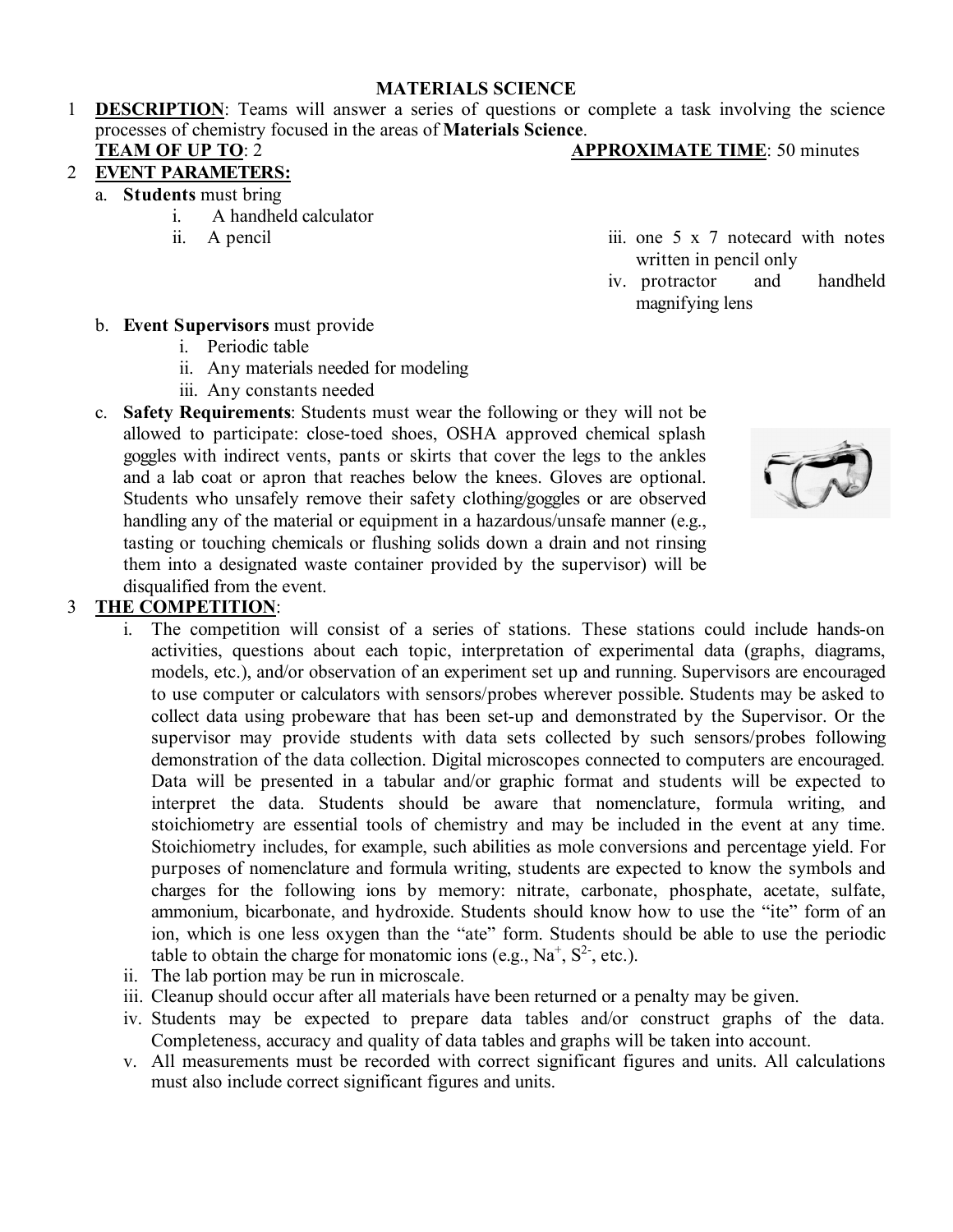#### **MATERIALS SCIENCE**

1 **DESCRIPTION**: Teams will answer a series of questions or complete a task involving the science processes of chemistry focused in the areas of **Materials Science**. **TEAM OF UP TO: 2 APPROXIMATE TIME: 50 minutes** 

# 2 **EVENT PARAMETERS:**

- a. **Students** must bring
	- i. A handheld calculator
	-
	- ii. A pencil iii. one 5 x 7 notecard with notes written in pencil only
		- iv. protractor and handheld magnifying lens

- b. **Event Supervisors** must provide
	- i. Periodic table
	- ii. Any materials needed for modeling
	- iii. Any constants needed
- c. **Safety Requirements**: Students must wear the following or they will not be allowed to participate: close-toed shoes, OSHA approved chemical splash goggles with indirect vents, pants or skirts that cover the legs to the ankles and a lab coat or apron that reaches below the knees. Gloves are optional. Students who unsafely remove their safety clothing/goggles or are observed handling any of the material or equipment in a hazardous/unsafe manner (e.g., tasting or touching chemicals or flushing solids down a drain and not rinsing them into a designated waste container provided by the supervisor) will be disqualified from the event.

## 3 **THE COMPETITION**:

- i. The competition will consist of a series of stations. These stations could include hands-on activities, questions about each topic, interpretation of experimental data (graphs, diagrams, models, etc.), and/or observation of an experiment set up and running. Supervisors are encouraged to use computer or calculators with sensors/probes wherever possible. Students may be asked to collect data using probeware that has been set-up and demonstrated by the Supervisor. Or the supervisor may provide students with data sets collected by such sensors/probes following demonstration of the data collection. Digital microscopes connected to computers are encouraged. Data will be presented in a tabular and/or graphic format and students will be expected to interpret the data. Students should be aware that nomenclature, formula writing, and stoichiometry are essential tools of chemistry and may be included in the event at any time. Stoichiometry includes, for example, such abilities as mole conversions and percentage yield. For purposes of nomenclature and formula writing, students are expected to know the symbols and charges for the following ions by memory: nitrate, carbonate, phosphate, acetate, sulfate, ammonium, bicarbonate, and hydroxide. Students should know how to use the "ite" form of an ion, which is one less oxygen than the "ate" form. Students should be able to use the periodic table to obtain the charge for monatomic ions (e.g.,  $Na<sup>+</sup>, S<sup>2</sup>$ , etc.).
- ii. The lab portion may be run in microscale.
- iii. Cleanup should occur after all materials have been returned or a penalty may be given.
- iv. Students may be expected to prepare data tables and/or construct graphs of the data. Completeness, accuracy and quality of data tables and graphs will be taken into account.
- v. All measurements must be recorded with correct significant figures and units. All calculations must also include correct significant figures and units.